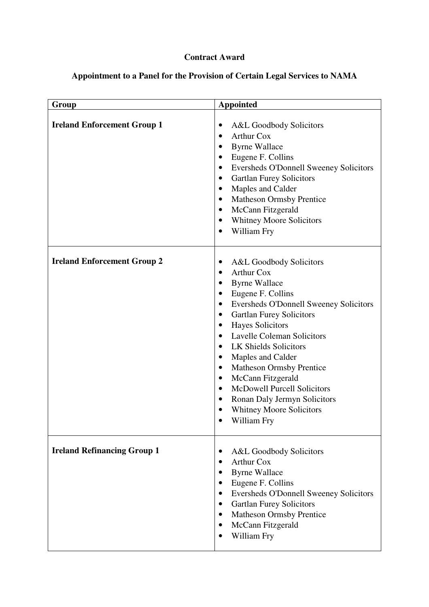## **Contract Award**

## **Appointment to a Panel for the Provision of Certain Legal Services to NAMA**

| Group                              | <b>Appointed</b>                                                                                                                                                                                                                                                                                                                                                                                                                                                                                                                                                                                                                                                |
|------------------------------------|-----------------------------------------------------------------------------------------------------------------------------------------------------------------------------------------------------------------------------------------------------------------------------------------------------------------------------------------------------------------------------------------------------------------------------------------------------------------------------------------------------------------------------------------------------------------------------------------------------------------------------------------------------------------|
| <b>Ireland Enforcement Group 1</b> | A&L Goodbody Solicitors<br><b>Arthur Cox</b><br><b>Byrne Wallace</b><br>$\bullet$<br>Eugene F. Collins<br>$\bullet$<br>Eversheds O'Donnell Sweeney Solicitors<br>$\bullet$<br><b>Gartlan Furey Solicitors</b><br>٠<br>Maples and Calder<br>$\bullet$<br><b>Matheson Ormsby Prentice</b><br>$\bullet$<br>McCann Fitzgerald<br>$\bullet$<br><b>Whitney Moore Solicitors</b><br>$\bullet$<br>William Fry<br>$\bullet$                                                                                                                                                                                                                                              |
| <b>Ireland Enforcement Group 2</b> | A&L Goodbody Solicitors<br>$\bullet$<br><b>Arthur Cox</b><br>٠<br><b>Byrne Wallace</b><br>$\bullet$<br>Eugene F. Collins<br>$\bullet$<br>Eversheds O'Donnell Sweeney Solicitors<br>$\bullet$<br><b>Gartlan Furey Solicitors</b><br>$\bullet$<br>Hayes Solicitors<br>$\bullet$<br><b>Lavelle Coleman Solicitors</b><br>$\bullet$<br><b>LK Shields Solicitors</b><br>$\bullet$<br>Maples and Calder<br>$\bullet$<br><b>Matheson Ormsby Prentice</b><br>$\bullet$<br>McCann Fitzgerald<br>$\bullet$<br><b>McDowell Purcell Solicitors</b><br>$\bullet$<br>Ronan Daly Jermyn Solicitors<br>$\bullet$<br><b>Whitney Moore Solicitors</b><br>$\bullet$<br>William Fry |
| <b>Ireland Refinancing Group 1</b> | A&L Goodbody Solicitors<br>$\bullet$<br><b>Arthur Cox</b><br>$\bullet$<br><b>Byrne Wallace</b><br>Eugene F. Collins<br>Eversheds O'Donnell Sweeney Solicitors<br>٠<br><b>Gartlan Furey Solicitors</b><br>$\bullet$<br><b>Matheson Ormsby Prentice</b><br>$\bullet$<br>McCann Fitzgerald<br>$\bullet$<br>William Fry<br>$\bullet$                                                                                                                                                                                                                                                                                                                                |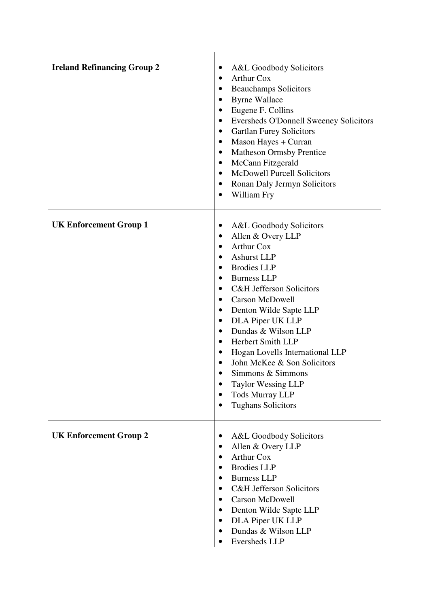| <b>Ireland Refinancing Group 2</b> | A&L Goodbody Solicitors<br>$\bullet$<br><b>Arthur Cox</b><br>$\bullet$<br><b>Beauchamps Solicitors</b><br>٠<br><b>Byrne Wallace</b><br>$\bullet$<br>Eugene F. Collins<br>$\bullet$<br>Eversheds O'Donnell Sweeney Solicitors<br>$\bullet$<br><b>Gartlan Furey Solicitors</b><br>$\bullet$<br>Mason Hayes + Curran<br>$\bullet$<br><b>Matheson Ormsby Prentice</b><br>$\bullet$<br>McCann Fitzgerald<br>$\bullet$<br><b>McDowell Purcell Solicitors</b><br>$\bullet$<br>Ronan Daly Jermyn Solicitors<br>$\bullet$<br>William Fry<br>$\bullet$                                                                                                                 |
|------------------------------------|--------------------------------------------------------------------------------------------------------------------------------------------------------------------------------------------------------------------------------------------------------------------------------------------------------------------------------------------------------------------------------------------------------------------------------------------------------------------------------------------------------------------------------------------------------------------------------------------------------------------------------------------------------------|
| <b>UK Enforcement Group 1</b>      | A&L Goodbody Solicitors<br>$\bullet$<br>Allen & Overy LLP<br>٠<br><b>Arthur Cox</b><br>$\bullet$<br><b>Ashurst LLP</b><br>$\bullet$<br><b>Brodies LLP</b><br>$\bullet$<br><b>Burness LLP</b><br>$\bullet$<br><b>C&amp;H Jefferson Solicitors</b><br>$\bullet$<br><b>Carson McDowell</b><br>$\bullet$<br>Denton Wilde Sapte LLP<br>$\bullet$<br>DLA Piper UK LLP<br>$\bullet$<br>Dundas & Wilson LLP<br>$\bullet$<br>Herbert Smith LLP<br>$\bullet$<br>Hogan Lovells International LLP<br>$\bullet$<br>John McKee & Son Solicitors<br>Simmons & Simmons<br><b>Taylor Wessing LLP</b><br>٠<br><b>Tods Murray LLP</b><br>$\bullet$<br><b>Tughans Solicitors</b> |
| <b>UK Enforcement Group 2</b>      | A&L Goodbody Solicitors<br>٠<br>Allen & Overy LLP<br>$\bullet$<br><b>Arthur Cox</b><br><b>Brodies LLP</b><br>$\bullet$<br><b>Burness LLP</b><br>٠<br><b>C&amp;H Jefferson Solicitors</b><br>٠<br>Carson McDowell<br>$\bullet$<br>Denton Wilde Sapte LLP<br>$\bullet$<br>DLA Piper UK LLP<br>$\bullet$<br>Dundas & Wilson LLP<br>$\bullet$<br>Eversheds LLP                                                                                                                                                                                                                                                                                                   |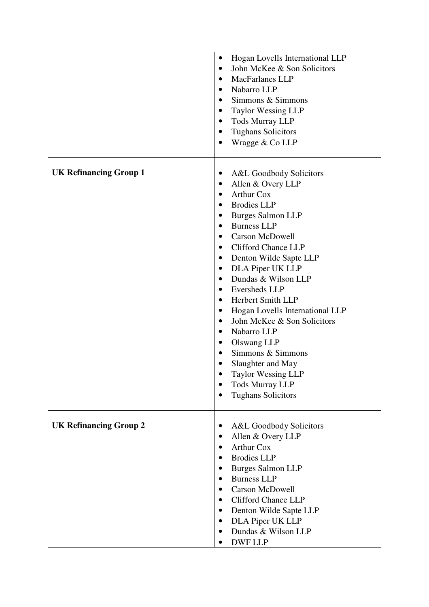|                               | Hogan Lovells International LLP<br>$\bullet$<br>John McKee & Son Solicitors<br>$\bullet$<br><b>MacFarlanes LLP</b><br>$\bullet$<br>Nabarro LLP<br>$\bullet$<br>Simmons & Simmons<br>$\bullet$<br><b>Taylor Wessing LLP</b><br>٠<br><b>Tods Murray LLP</b><br>$\bullet$<br><b>Tughans Solicitors</b><br>$\bullet$<br>Wragge & Co LLP<br>$\bullet$                                                                                                                                                                                                                                                                                                                                                                                     |
|-------------------------------|--------------------------------------------------------------------------------------------------------------------------------------------------------------------------------------------------------------------------------------------------------------------------------------------------------------------------------------------------------------------------------------------------------------------------------------------------------------------------------------------------------------------------------------------------------------------------------------------------------------------------------------------------------------------------------------------------------------------------------------|
| <b>UK Refinancing Group 1</b> | A&L Goodbody Solicitors<br>$\bullet$<br>Allen & Overy LLP<br>٠                                                                                                                                                                                                                                                                                                                                                                                                                                                                                                                                                                                                                                                                       |
|                               | <b>Arthur Cox</b><br>$\bullet$<br><b>Brodies LLP</b><br>$\bullet$<br><b>Burges Salmon LLP</b><br>$\bullet$<br><b>Burness LLP</b><br>$\bullet$<br><b>Carson McDowell</b><br>$\bullet$<br><b>Clifford Chance LLP</b><br>$\bullet$<br>Denton Wilde Sapte LLP<br>$\bullet$<br>DLA Piper UK LLP<br>$\bullet$<br>Dundas & Wilson LLP<br>$\bullet$<br>Eversheds LLP<br>$\bullet$<br>Herbert Smith LLP<br>$\bullet$<br>Hogan Lovells International LLP<br>$\bullet$<br>John McKee & Son Solicitors<br>$\bullet$<br>Nabarro LLP<br>$\bullet$<br>Olswang LLP<br>$\bullet$<br>Simmons & Simmons<br>$\bullet$<br>Slaughter and May<br><b>Taylor Wessing LLP</b><br><b>Tods Murray LLP</b><br>$\bullet$<br><b>Tughans Solicitors</b><br>$\bullet$ |
| <b>UK Refinancing Group 2</b> | A&L Goodbody Solicitors<br>٠                                                                                                                                                                                                                                                                                                                                                                                                                                                                                                                                                                                                                                                                                                         |
|                               | Allen & Overy LLP<br>$\bullet$<br><b>Arthur Cox</b><br>$\bullet$<br><b>Brodies LLP</b><br><b>Burges Salmon LLP</b><br>٠<br><b>Burness LLP</b><br>$\bullet$<br><b>Carson McDowell</b><br>$\bullet$<br><b>Clifford Chance LLP</b><br>٠<br>Denton Wilde Sapte LLP<br>٠<br>DLA Piper UK LLP<br>$\bullet$<br>Dundas & Wilson LLP<br>$\bullet$<br><b>DWF LLP</b><br>$\bullet$                                                                                                                                                                                                                                                                                                                                                              |